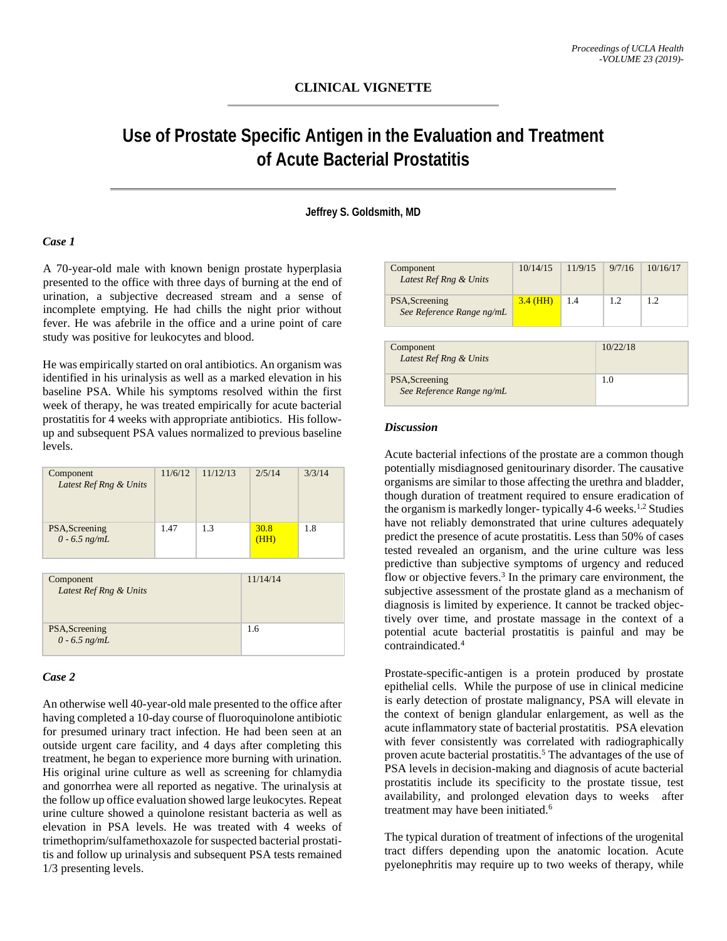# **CLINICAL VIGNETTE**

# **Use of Prostate Specific Antigen in the Evaluation and Treatment of Acute Bacterial Prostatitis**

#### **Jeffrey S. Goldsmith, MD**

### *Case 1*

A 70-year-old male with known benign prostate hyperplasia presented to the office with three days of burning at the end of urination, a subjective decreased stream and a sense of incomplete emptying. He had chills the night prior without fever. He was afebrile in the office and a urine point of care study was positive for leukocytes and blood.

He was empirically started on oral antibiotics. An organism was identified in his urinalysis as well as a marked elevation in his baseline PSA. While his symptoms resolved within the first week of therapy, he was treated empirically for acute bacterial prostatitis for 4 weeks with appropriate antibiotics. His followup and subsequent PSA values normalized to previous baseline levels.

| Component<br>Latest Ref Rng & Units | 11/6/12 | 11/12/13 | 2/5/14       | 3/3/14 |
|-------------------------------------|---------|----------|--------------|--------|
| PSA, Screening<br>$0 - 6.5$ ng/mL   | 1.47    | 1.3      | 30.8<br>(HH) | 1.8    |

| Component<br>Latest Ref Rng & Units | 11/14/14 |
|-------------------------------------|----------|
| PSA, Screening<br>$0 - 6.5$ ng/mL   | 1.6      |

#### *Case 2*

An otherwise well 40-year-old male presented to the office after having completed a 10-day course of fluoroquinolone antibiotic for presumed urinary tract infection. He had been seen at an outside urgent care facility, and 4 days after completing this treatment, he began to experience more burning with urination. His original urine culture as well as screening for chlamydia and gonorrhea were all reported as negative. The urinalysis at the follow up office evaluation showed large leukocytes. Repeat urine culture showed a quinolone resistant bacteria as well as elevation in PSA levels. He was treated with 4 weeks of trimethoprim/sulfamethoxazole for suspected bacterial prostatitis and follow up urinalysis and subsequent PSA tests remained 1/3 presenting levels.

| Component<br>Latest Ref Rng & Units         | 10/14/15   | 11/9/15  | 9/7/16 | 10/16/17 |
|---------------------------------------------|------------|----------|--------|----------|
| PSA, Screening<br>See Reference Range ng/mL | $3.4$ (HH) | 1.4      | 1.2    | 1.2      |
| Component<br>Latest Ref Rng & Units         |            | 10/22/18 |        |          |
| PSA, Screening<br>See Reference Range ng/mL |            | 1.0      |        |          |

#### *Discussion*

Acute bacterial infections of the prostate are a common though potentially misdiagnosed genitourinary disorder. The causative organisms are similar to those affecting the urethra and bladder, though duration of treatment required to ensure eradication of the organism is markedly longer- typically 4-6 weeks.<sup>1,2</sup> Studies have not reliably demonstrated that urine cultures adequately predict the presence of acute prostatitis. Less than 50% of cases tested revealed an organism, and the urine culture was less predictive than subjective symptoms of urgency and reduced flow or objective fevers.<sup>3</sup> In the primary care environment, the subjective assessment of the prostate gland as a mechanism of diagnosis is limited by experience. It cannot be tracked objectively over time, and prostate massage in the context of a potential acute bacterial prostatitis is painful and may be contraindicated.4

Prostate-specific-antigen is a protein produced by prostate epithelial cells. While the purpose of use in clinical medicine is early detection of prostate malignancy, PSA will elevate in the context of benign glandular enlargement, as well as the acute inflammatory state of bacterial prostatitis. PSA elevation with fever consistently was correlated with radiographically proven acute bacterial prostatitis.<sup>5</sup> The advantages of the use of PSA levels in decision-making and diagnosis of acute bacterial prostatitis include its specificity to the prostate tissue, test availability, and prolonged elevation days to weeks after treatment may have been initiated.<sup>6</sup>

The typical duration of treatment of infections of the urogenital tract differs depending upon the anatomic location. Acute pyelonephritis may require up to two weeks of therapy, while